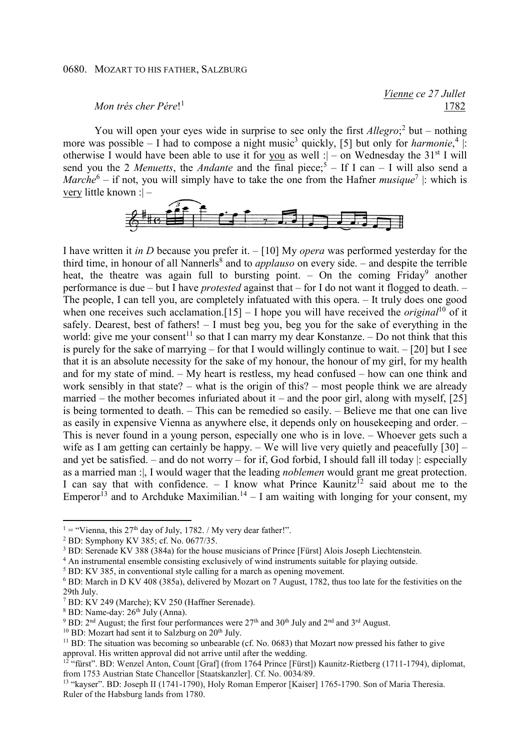## 0680. MOZART TO HIS FATHER, SALZBURG

## *Mon trés cher Pére*! 1

 *Vienne ce 27 Jullet*  1782

You will open your eyes wide in surprise to see only the first *Allegro*;<sup>2</sup> but – nothing more was possible  $-1$  had to compose a night music<sup>3</sup> quickly, [5] but only for *harmonie*,<sup>4</sup> |: otherwise I would have been able to use it for you as well : $\vert$  – on Wednesday the 31<sup>st</sup> I will send you the 2 *Menuetts*, the *Andante* and the final piece;<sup>5</sup> – If I can – I will also send a *Marche*<sup>6</sup> – if not, you will simply have to take the one from the Hafner *musique*<sup>7</sup> |: which is very little known :| –



I have written it *in D* because you prefer it. – [10] My *opera* was performed yesterday for the third time, in honour of all Nannerls<sup>8</sup> and to *applauso* on every side. – and despite the terrible heat, the theatre was again full to bursting point. - On the coming Friday<sup>9</sup> another performance is due – but I have *protested* against that – for I do not want it flogged to death. – The people, I can tell you, are completely infatuated with this opera. – It truly does one good when one receives such acclamation.<sup>[15]</sup> – I hope you will have received the *original*<sup>10</sup> of it safely. Dearest, best of fathers! – I must beg you, beg you for the sake of everything in the world: give me your consent<sup>11</sup> so that I can marry my dear Konstanze.  $-$  Do not think that this is purely for the sake of marrying – for that I would willingly continue to wait. – [20] but I see that it is an absolute necessity for the sake of my honour, the honour of my girl, for my health and for my state of mind. – My heart is restless, my head confused – how can one think and work sensibly in that state? – what is the origin of this? – most people think we are already married – the mother becomes infuriated about it – and the poor girl, along with myself,  $[25]$ is being tormented to death. – This can be remedied so easily. – Believe me that one can live as easily in expensive Vienna as anywhere else, it depends only on housekeeping and order. – This is never found in a young person, especially one who is in love. – Whoever gets such a wife as I am getting can certainly be happy.  $-$  We will live very quietly and peacefully [30]  $$ and yet be satisfied. – and do not worry – for if, God forbid, I should fall ill today |: especially as a married man :|, I would wager that the leading *noblemen* would grant me great protection. I can say that with confidence. – I know what Prince Kaunitz<sup>12</sup> said about me to the Emperor<sup>13</sup> and to Archduke Maximilian.<sup>14</sup> – I am waiting with longing for your consent, my

5 BD: KV 385, in conventional style calling for a march as opening movement.

 $\overline{a}$ 

<sup>&</sup>lt;sup>1</sup> = "Vienna, this 27<sup>th</sup> day of July, 1782. / My very dear father!".

<sup>2</sup> BD: Symphony KV 385; cf. No. 0677/35.

 $3$  BD: Serenade KV 388 (384a) for the house musicians of Prince [Fürst] Alois Joseph Liechtenstein.

<sup>&</sup>lt;sup>4</sup> An instrumental ensemble consisting exclusively of wind instruments suitable for playing outside.

<sup>&</sup>lt;sup>6</sup> BD: March in D KV 408 (385a), delivered by Mozart on 7 August, 1782, thus too late for the festivities on the 29th July.

<sup>7</sup> BD: KV 249 (Marche); KV 250 (Haffner Serenade).

 $8$  BD: Name-day:  $26<sup>th</sup>$  July (Anna).

<sup>&</sup>lt;sup>9</sup> BD: 2<sup>nd</sup> August; the first four performances were  $27<sup>th</sup>$  and  $30<sup>th</sup>$  July and  $2<sup>nd</sup>$  and  $3<sup>rd</sup>$  August.

<sup>&</sup>lt;sup>10</sup> BD: Mozart had sent it to Salzburg on 20<sup>th</sup> July.

 $11$  BD: The situation was becoming so unbearable (cf. No. 0683) that Mozart now pressed his father to give approval. His written approval did not arrive until after the wedding.

<sup>&</sup>lt;sup>12</sup> "fürst". BD: Wenzel Anton, Count [Graf] (from 1764 Prince [Fürst]) Kaunitz-Rietberg (1711-1794), diplomat, from 1753 Austrian State Chancellor [Staatskanzler]. Cf. No. 0034/89.

<sup>&</sup>lt;sup>13</sup> "kayser". BD: Joseph II (1741-1790), Holy Roman Emperor [Kaiser] 1765-1790. Son of Maria Theresia. Ruler of the Habsburg lands from 1780.